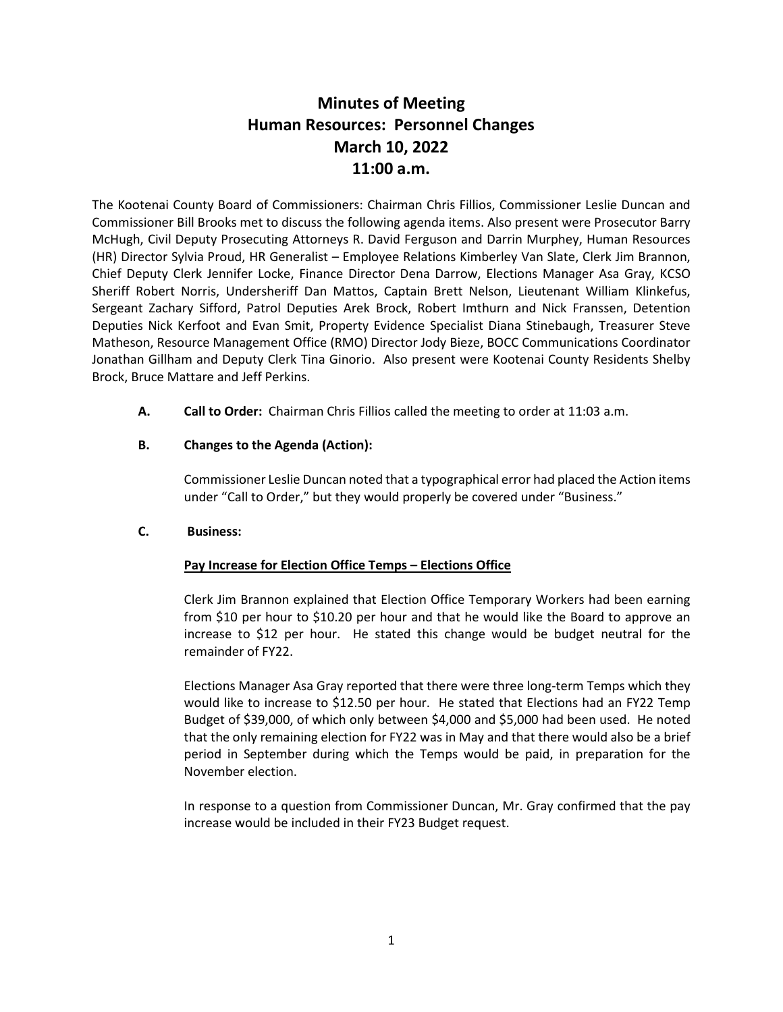# **Minutes of Meeting Human Resources: Personnel Changes March 10, 2022 11:00 a.m.**

The Kootenai County Board of Commissioners: Chairman Chris Fillios, Commissioner Leslie Duncan and Commissioner Bill Brooks met to discuss the following agenda items. Also present were Prosecutor Barry McHugh, Civil Deputy Prosecuting Attorneys R. David Ferguson and Darrin Murphey, Human Resources (HR) Director Sylvia Proud, HR Generalist – Employee Relations Kimberley Van Slate, Clerk Jim Brannon, Chief Deputy Clerk Jennifer Locke, Finance Director Dena Darrow, Elections Manager Asa Gray, KCSO Sheriff Robert Norris, Undersheriff Dan Mattos, Captain Brett Nelson, Lieutenant William Klinkefus, Sergeant Zachary Sifford, Patrol Deputies Arek Brock, Robert Imthurn and Nick Franssen, Detention Deputies Nick Kerfoot and Evan Smit, Property Evidence Specialist Diana Stinebaugh, Treasurer Steve Matheson, Resource Management Office (RMO) Director Jody Bieze, BOCC Communications Coordinator Jonathan Gillham and Deputy Clerk Tina Ginorio. Also present were Kootenai County Residents Shelby Brock, Bruce Mattare and Jeff Perkins.

**A. Call to Order:** Chairman Chris Fillios called the meeting to order at 11:03 a.m.

## **B. Changes to the Agenda (Action):**

Commissioner Leslie Duncan noted that a typographical error had placed the Action items under "Call to Order," but they would properly be covered under "Business."

## **C. Business:**

## **Pay Increase for Election Office Temps – Elections Office**

Clerk Jim Brannon explained that Election Office Temporary Workers had been earning from \$10 per hour to \$10.20 per hour and that he would like the Board to approve an increase to \$12 per hour. He stated this change would be budget neutral for the remainder of FY22.

Elections Manager Asa Gray reported that there were three long-term Temps which they would like to increase to \$12.50 per hour. He stated that Elections had an FY22 Temp Budget of \$39,000, of which only between \$4,000 and \$5,000 had been used. He noted that the only remaining election for FY22 was in May and that there would also be a brief period in September during which the Temps would be paid, in preparation for the November election.

In response to a question from Commissioner Duncan, Mr. Gray confirmed that the pay increase would be included in their FY23 Budget request.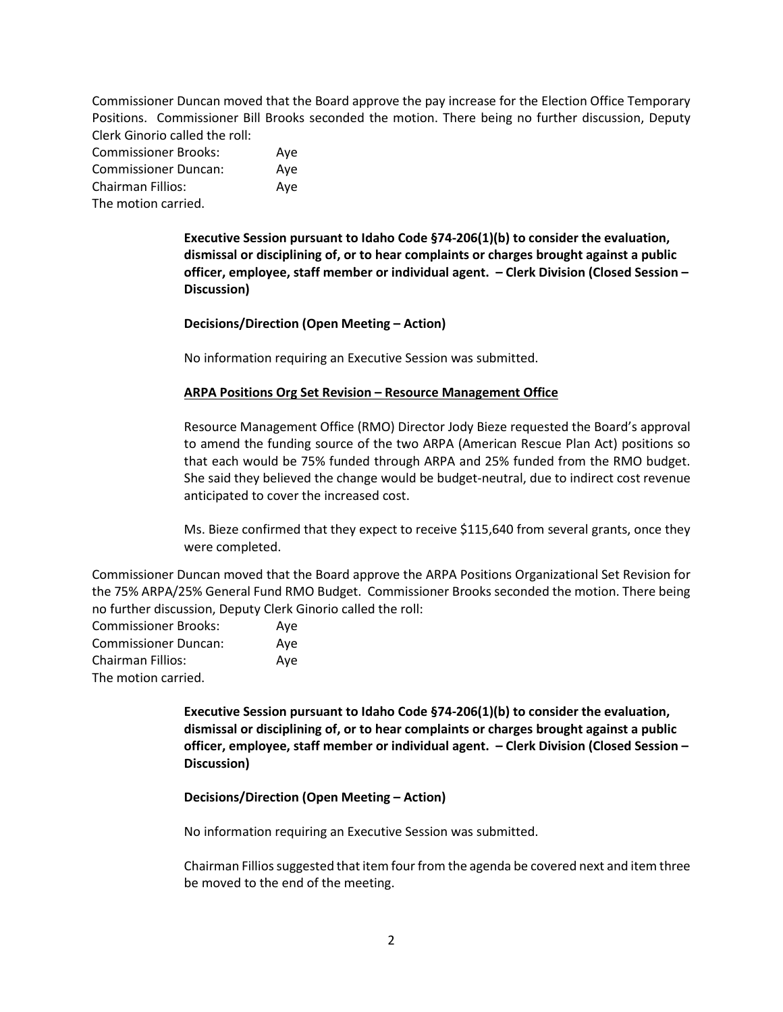Commissioner Duncan moved that the Board approve the pay increase for the Election Office Temporary Positions. Commissioner Bill Brooks seconded the motion. There being no further discussion, Deputy Clerk Ginorio called the roll:

| <b>Commissioner Brooks:</b> | Ave |
|-----------------------------|-----|
| <b>Commissioner Duncan:</b> | Ave |
| Chairman Fillios:           | Ave |
| The motion carried.         |     |

**Executive Session pursuant to Idaho Code §74-206(1)(b) to consider the evaluation, dismissal or disciplining of, or to hear complaints or charges brought against a public officer, employee, staff member or individual agent. – Clerk Division (Closed Session – Discussion)**

**Decisions/Direction (Open Meeting – Action)**

No information requiring an Executive Session was submitted.

#### **ARPA Positions Org Set Revision – Resource Management Office**

Resource Management Office (RMO) Director Jody Bieze requested the Board's approval to amend the funding source of the two ARPA (American Rescue Plan Act) positions so that each would be 75% funded through ARPA and 25% funded from the RMO budget. She said they believed the change would be budget-neutral, due to indirect cost revenue anticipated to cover the increased cost.

Ms. Bieze confirmed that they expect to receive \$115,640 from several grants, once they were completed.

Commissioner Duncan moved that the Board approve the ARPA Positions Organizational Set Revision for the 75% ARPA/25% General Fund RMO Budget. Commissioner Brooks seconded the motion. There being no further discussion, Deputy Clerk Ginorio called the roll:

| <b>Commissioner Brooks:</b> | Ave |
|-----------------------------|-----|
| <b>Commissioner Duncan:</b> | Ave |
| Chairman Fillios:           | Aye |
| The motion carried.         |     |

**Executive Session pursuant to Idaho Code §74-206(1)(b) to consider the evaluation, dismissal or disciplining of, or to hear complaints or charges brought against a public officer, employee, staff member or individual agent. – Clerk Division (Closed Session – Discussion)**

## **Decisions/Direction (Open Meeting – Action)**

No information requiring an Executive Session was submitted.

Chairman Fillios suggested that item four from the agenda be covered next and item three be moved to the end of the meeting.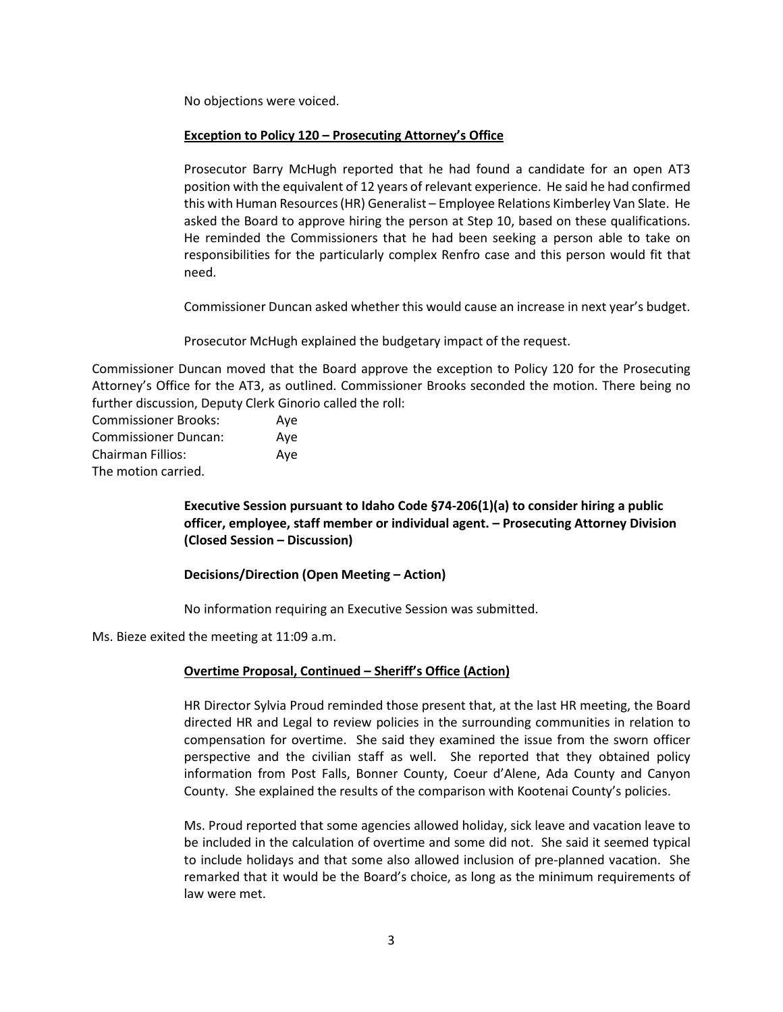No objections were voiced.

#### **Exception to Policy 120 – Prosecuting Attorney's Office**

Prosecutor Barry McHugh reported that he had found a candidate for an open AT3 position with the equivalent of 12 years of relevant experience. He said he had confirmed this with Human Resources (HR) Generalist – Employee Relations Kimberley Van Slate. He asked the Board to approve hiring the person at Step 10, based on these qualifications. He reminded the Commissioners that he had been seeking a person able to take on responsibilities for the particularly complex Renfro case and this person would fit that need.

Commissioner Duncan asked whether this would cause an increase in next year's budget.

Prosecutor McHugh explained the budgetary impact of the request.

Commissioner Duncan moved that the Board approve the exception to Policy 120 for the Prosecuting Attorney's Office for the AT3, as outlined. Commissioner Brooks seconded the motion. There being no further discussion, Deputy Clerk Ginorio called the roll:

| <b>Commissioner Brooks:</b> | Ave |
|-----------------------------|-----|
| <b>Commissioner Duncan:</b> | Ave |
| <b>Chairman Fillios:</b>    | Ave |
| The motion carried.         |     |

**Executive Session pursuant to Idaho Code §74-206(1)(a) to consider hiring a public officer, employee, staff member or individual agent. – Prosecuting Attorney Division (Closed Session – Discussion)**

## **Decisions/Direction (Open Meeting – Action)**

No information requiring an Executive Session was submitted.

Ms. Bieze exited the meeting at 11:09 a.m.

## **Overtime Proposal, Continued – Sheriff's Office (Action)**

HR Director Sylvia Proud reminded those present that, at the last HR meeting, the Board directed HR and Legal to review policies in the surrounding communities in relation to compensation for overtime. She said they examined the issue from the sworn officer perspective and the civilian staff as well. She reported that they obtained policy information from Post Falls, Bonner County, Coeur d'Alene, Ada County and Canyon County. She explained the results of the comparison with Kootenai County's policies.

Ms. Proud reported that some agencies allowed holiday, sick leave and vacation leave to be included in the calculation of overtime and some did not. She said it seemed typical to include holidays and that some also allowed inclusion of pre-planned vacation. She remarked that it would be the Board's choice, as long as the minimum requirements of law were met.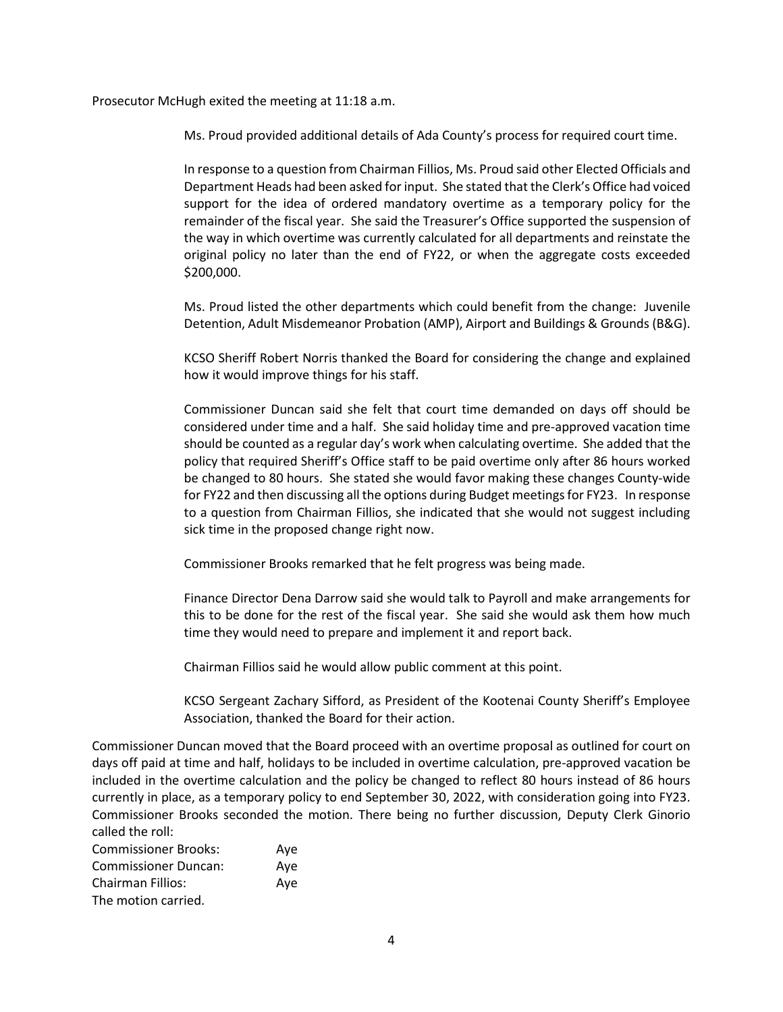Prosecutor McHugh exited the meeting at 11:18 a.m.

Ms. Proud provided additional details of Ada County's process for required court time.

In response to a question from Chairman Fillios, Ms. Proud said other Elected Officials and Department Heads had been asked for input. She stated that the Clerk's Office had voiced support for the idea of ordered mandatory overtime as a temporary policy for the remainder of the fiscal year. She said the Treasurer's Office supported the suspension of the way in which overtime was currently calculated for all departments and reinstate the original policy no later than the end of FY22, or when the aggregate costs exceeded \$200,000.

Ms. Proud listed the other departments which could benefit from the change: Juvenile Detention, Adult Misdemeanor Probation (AMP), Airport and Buildings & Grounds (B&G).

KCSO Sheriff Robert Norris thanked the Board for considering the change and explained how it would improve things for his staff.

Commissioner Duncan said she felt that court time demanded on days off should be considered under time and a half. She said holiday time and pre-approved vacation time should be counted as a regular day's work when calculating overtime. She added that the policy that required Sheriff's Office staff to be paid overtime only after 86 hours worked be changed to 80 hours. She stated she would favor making these changes County-wide for FY22 and then discussing all the options during Budget meetings for FY23. In response to a question from Chairman Fillios, she indicated that she would not suggest including sick time in the proposed change right now.

Commissioner Brooks remarked that he felt progress was being made.

Finance Director Dena Darrow said she would talk to Payroll and make arrangements for this to be done for the rest of the fiscal year. She said she would ask them how much time they would need to prepare and implement it and report back.

Chairman Fillios said he would allow public comment at this point.

KCSO Sergeant Zachary Sifford, as President of the Kootenai County Sheriff's Employee Association, thanked the Board for their action.

Commissioner Duncan moved that the Board proceed with an overtime proposal as outlined for court on days off paid at time and half, holidays to be included in overtime calculation, pre-approved vacation be included in the overtime calculation and the policy be changed to reflect 80 hours instead of 86 hours currently in place, as a temporary policy to end September 30, 2022, with consideration going into FY23. Commissioner Brooks seconded the motion. There being no further discussion, Deputy Clerk Ginorio called the roll:

| <b>Commissioner Brooks:</b> | Aye |
|-----------------------------|-----|
| <b>Commissioner Duncan:</b> | Ave |
| Chairman Fillios:           | Ave |
| The motion carried.         |     |